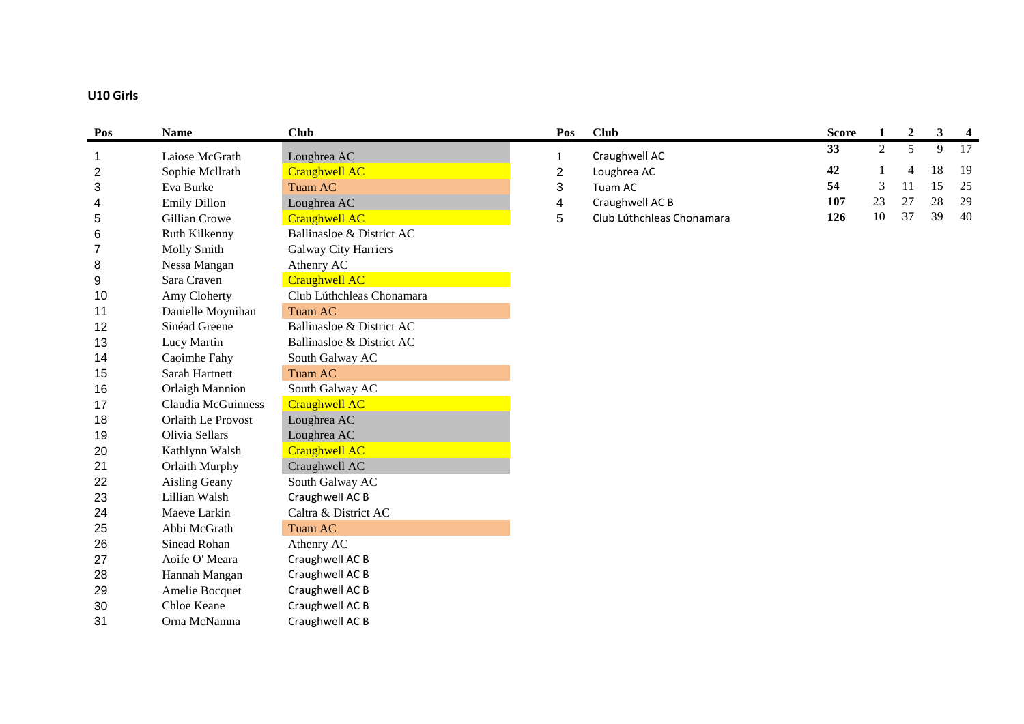# **U10 Girls**

| Pos            | <b>Name</b>            | <b>Club</b>                 | Pos            | <b>Club</b>               | <b>Score</b> | $\mathbf{1}$ | $\boldsymbol{2}$ | 3  | $\overline{\mathbf{4}}$ |
|----------------|------------------------|-----------------------------|----------------|---------------------------|--------------|--------------|------------------|----|-------------------------|
| $\mathbf{1}$   | Laiose McGrath         | Loughrea AC                 | 1              | Craughwell AC             | 33           | 2            | 5                | 9  | 17                      |
| $\overline{2}$ | Sophie Mcllrath        | <b>Craughwell AC</b>        | $\overline{c}$ | Loughrea AC               | 42           |              | 4                | 18 | 19                      |
| 3              | Eva Burke              | Tuam AC                     | 3              | Tuam AC                   | 54           | 3            | 11               | 15 | 25                      |
| 4              | Emily Dillon           | Loughrea AC                 | 4              | Craughwell AC B           | 107          | 23           | 27               | 28 | 29                      |
| 5              | Gillian Crowe          | <b>Craughwell AC</b>        | 5              | Club Lúthchleas Chonamara | 126          | 10           | 37               | 39 | 40                      |
| 6              | Ruth Kilkenny          | Ballinasloe & District AC   |                |                           |              |              |                  |    |                         |
| $\overline{7}$ | Molly Smith            | <b>Galway City Harriers</b> |                |                           |              |              |                  |    |                         |
| 8              | Nessa Mangan           | Athenry AC                  |                |                           |              |              |                  |    |                         |
| 9              | Sara Craven            | <b>Craughwell AC</b>        |                |                           |              |              |                  |    |                         |
| 10             | Amy Cloherty           | Club Lúthchleas Chonamara   |                |                           |              |              |                  |    |                         |
| 11             | Danielle Moynihan      | Tuam AC                     |                |                           |              |              |                  |    |                         |
| 12             | Sinéad Greene          | Ballinasloe & District AC   |                |                           |              |              |                  |    |                         |
| 13             | Lucy Martin            | Ballinasloe & District AC   |                |                           |              |              |                  |    |                         |
| 14             | Caoimhe Fahy           | South Galway AC             |                |                           |              |              |                  |    |                         |
| 15             | Sarah Hartnett         | Tuam AC                     |                |                           |              |              |                  |    |                         |
| 16             | <b>Orlaigh Mannion</b> | South Galway AC             |                |                           |              |              |                  |    |                         |
| 17             | Claudia McGuinness     | <b>Craughwell AC</b>        |                |                           |              |              |                  |    |                         |
| 18             | Orlaith Le Provost     | Loughrea AC                 |                |                           |              |              |                  |    |                         |
| 19             | Olivia Sellars         | Loughrea AC                 |                |                           |              |              |                  |    |                         |
| 20             | Kathlynn Walsh         | <b>Craughwell AC</b>        |                |                           |              |              |                  |    |                         |
| 21             | Orlaith Murphy         | Craughwell AC               |                |                           |              |              |                  |    |                         |
| 22             | Aisling Geany          | South Galway AC             |                |                           |              |              |                  |    |                         |
| 23             | Lillian Walsh          | Craughwell AC B             |                |                           |              |              |                  |    |                         |
| 24             | Maeve Larkin           | Caltra & District AC        |                |                           |              |              |                  |    |                         |
| 25             | Abbi McGrath           | Tuam AC                     |                |                           |              |              |                  |    |                         |
| 26             | Sinead Rohan           | Athenry AC                  |                |                           |              |              |                  |    |                         |
| 27             | Aoife O' Meara         | Craughwell AC B             |                |                           |              |              |                  |    |                         |
| 28             | Hannah Mangan          | Craughwell AC B             |                |                           |              |              |                  |    |                         |
| 29             | Amelie Bocquet         | Craughwell AC B             |                |                           |              |              |                  |    |                         |
| 30             | Chloe Keane            | Craughwell AC B             |                |                           |              |              |                  |    |                         |
| 31             | Orna McNamna           | Craughwell AC B             |                |                           |              |              |                  |    |                         |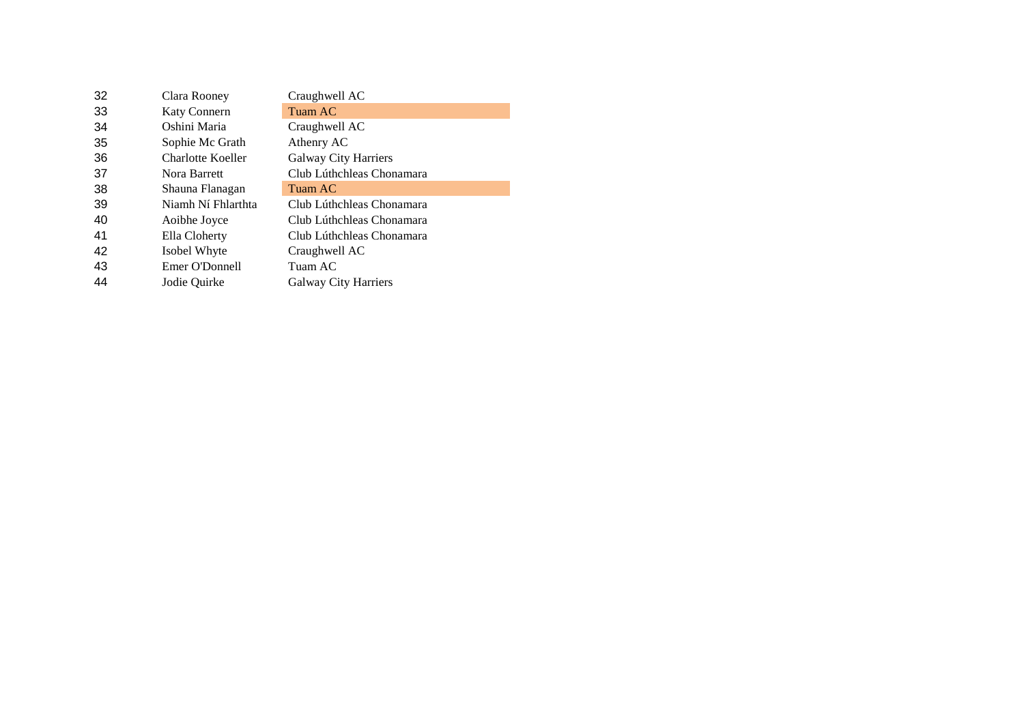| Clara Rooney        | Craughwell AC               |
|---------------------|-----------------------------|
| <b>Katy Connern</b> | Tuam AC                     |
| Oshini Maria        | Craughwell AC               |
| Sophie Mc Grath     | Athenry AC                  |
| Charlotte Koeller   | <b>Galway City Harriers</b> |
| Nora Barrett        | Club Lúthchleas Chonamara   |
| Shauna Flanagan     | Tuam AC                     |
| Niamh Ní Fhlarthta  | Club Lúthchleas Chonamara   |
| Aoibhe Joyce        | Club Lúthchleas Chonamara   |
| Ella Cloherty       | Club Lúthchleas Chonamara   |
| Isobel Whyte        | Craughwell AC               |
| Emer O'Donnell      | Tuam AC                     |
| Jodie Ouirke        | <b>Galway City Harriers</b> |
|                     |                             |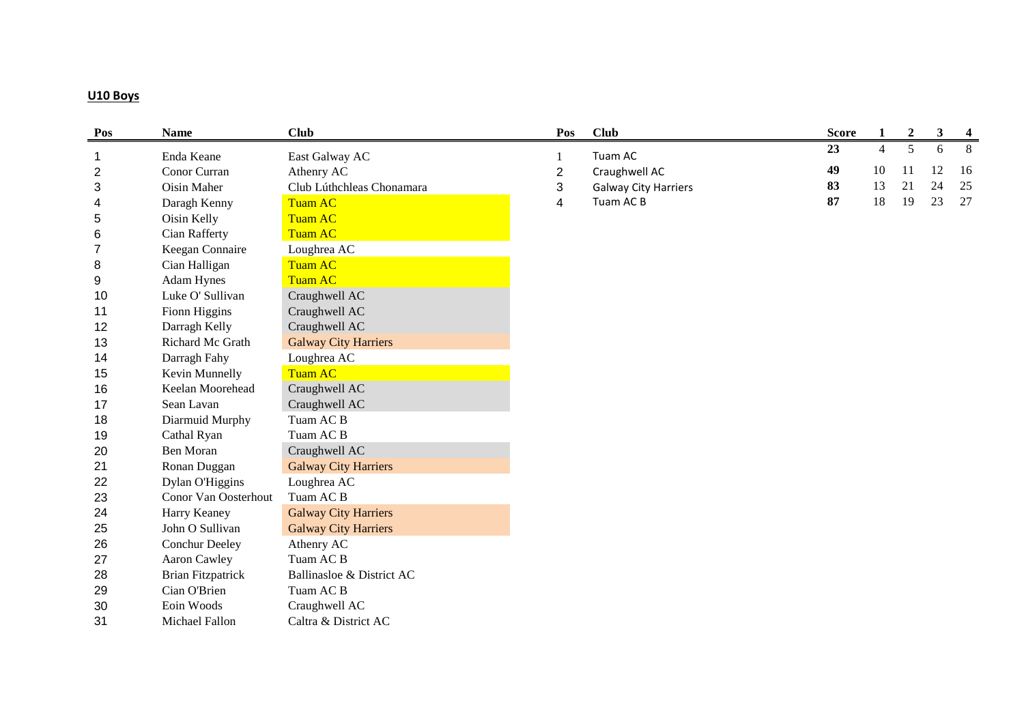## **U10 Boys**

| Pos              | <b>Name</b>              | <b>Club</b>                 | Pos            | <b>Club</b>                 | <b>Score</b> | $\mathbf{1}$   | $\boldsymbol{2}$ | $\mathbf{3}$ | $\overline{\mathbf{4}}$ |
|------------------|--------------------------|-----------------------------|----------------|-----------------------------|--------------|----------------|------------------|--------------|-------------------------|
| $\mathbf{1}$     | Enda Keane               | East Galway AC              |                | Tuam AC                     | 23           | $\overline{4}$ | 5                | 6            | 8                       |
| $\boldsymbol{2}$ | Conor Curran             | Athenry AC                  | $\overline{2}$ | Craughwell AC               | 49           | 10             | 11               | 12           | 16                      |
| 3                | <b>Oisin Maher</b>       | Club Lúthchleas Chonamara   | 3              | <b>Galway City Harriers</b> | 83           | 13             | 21               | 24           | 25                      |
| 4                | Daragh Kenny             | <b>Tuam AC</b>              | 4              | Tuam AC B                   | 87           | 18             | 19               | 23           | 27                      |
| $\sqrt{5}$       | Oisin Kelly              | <b>Tuam AC</b>              |                |                             |              |                |                  |              |                         |
| 6                | Cian Rafferty            | <b>Tuam AC</b>              |                |                             |              |                |                  |              |                         |
| $\overline{7}$   | Keegan Connaire          | Loughrea AC                 |                |                             |              |                |                  |              |                         |
| 8                | Cian Halligan            | <b>Tuam AC</b>              |                |                             |              |                |                  |              |                         |
| 9                | Adam Hynes               | <b>Tuam AC</b>              |                |                             |              |                |                  |              |                         |
| 10               | Luke O' Sullivan         | Craughwell AC               |                |                             |              |                |                  |              |                         |
| 11               | Fionn Higgins            | Craughwell AC               |                |                             |              |                |                  |              |                         |
| 12               | Darragh Kelly            | Craughwell AC               |                |                             |              |                |                  |              |                         |
| 13               | Richard Mc Grath         | <b>Galway City Harriers</b> |                |                             |              |                |                  |              |                         |
| 14               | Darragh Fahy             | Loughrea AC                 |                |                             |              |                |                  |              |                         |
| 15               | Kevin Munnelly           | <b>Tuam AC</b>              |                |                             |              |                |                  |              |                         |
| 16               | Keelan Moorehead         | Craughwell AC               |                |                             |              |                |                  |              |                         |
| 17               | Sean Lavan               | Craughwell AC               |                |                             |              |                |                  |              |                         |
| 18               | Diarmuid Murphy          | Tuam AC B                   |                |                             |              |                |                  |              |                         |
| 19               | Cathal Ryan              | Tuam AC B                   |                |                             |              |                |                  |              |                         |
| 20               | <b>Ben Moran</b>         | Craughwell AC               |                |                             |              |                |                  |              |                         |
| 21               | Ronan Duggan             | <b>Galway City Harriers</b> |                |                             |              |                |                  |              |                         |
| 22               | Dylan O'Higgins          | Loughrea AC                 |                |                             |              |                |                  |              |                         |
| 23               | Conor Van Oosterhout     | Tuam AC B                   |                |                             |              |                |                  |              |                         |
| 24               | Harry Keaney             | <b>Galway City Harriers</b> |                |                             |              |                |                  |              |                         |
| 25               | John O Sullivan          | <b>Galway City Harriers</b> |                |                             |              |                |                  |              |                         |
| 26               | Conchur Deeley           | Athenry AC                  |                |                             |              |                |                  |              |                         |
| 27               | Aaron Cawley             | Tuam AC B                   |                |                             |              |                |                  |              |                         |
| 28               | <b>Brian Fitzpatrick</b> | Ballinasloe & District AC   |                |                             |              |                |                  |              |                         |
| 29               | Cian O'Brien             | Tuam AC B                   |                |                             |              |                |                  |              |                         |
| 30               | Eoin Woods               | Craughwell AC               |                |                             |              |                |                  |              |                         |
| 31               | Michael Fallon           | Caltra & District AC        |                |                             |              |                |                  |              |                         |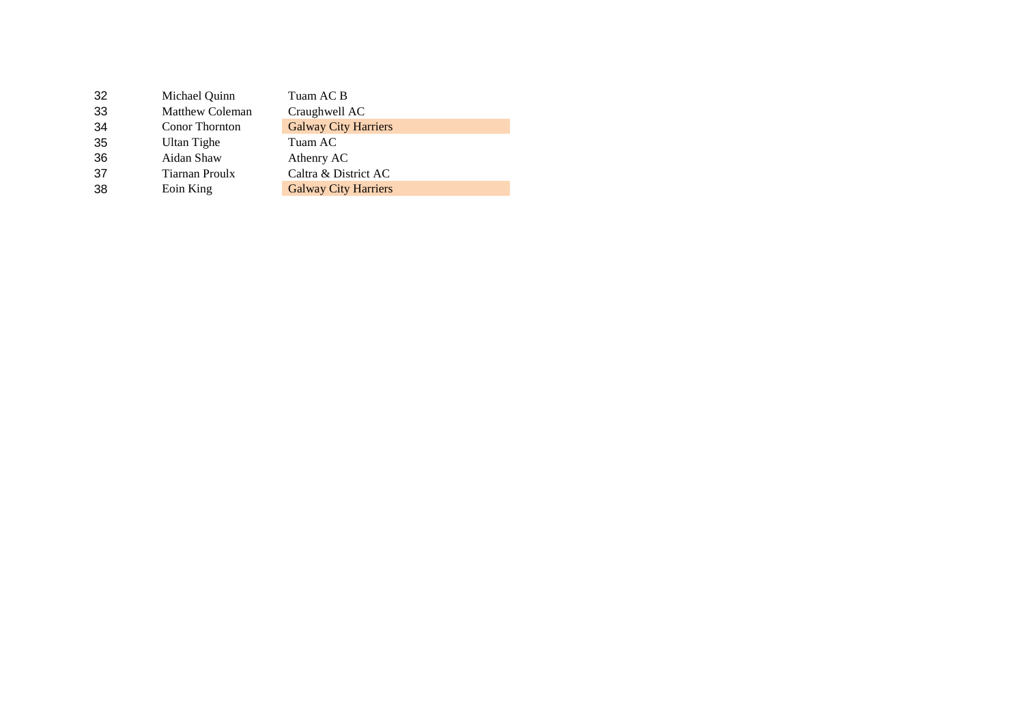| 32  | Michael Quinn          | Tuam AC B                   |
|-----|------------------------|-----------------------------|
| 33  | <b>Matthew Coleman</b> | Craughwell AC               |
| -34 | <b>Conor Thornton</b>  | <b>Galway City Harriers</b> |
| 35  | Ultan Tighe            | Tuam AC                     |
| 36  | Aidan Shaw             | Athenry AC                  |
| 37  | Tiarnan Proulx         | Caltra & District AC        |
| 38  | Eoin King              | <b>Galway City Harriers</b> |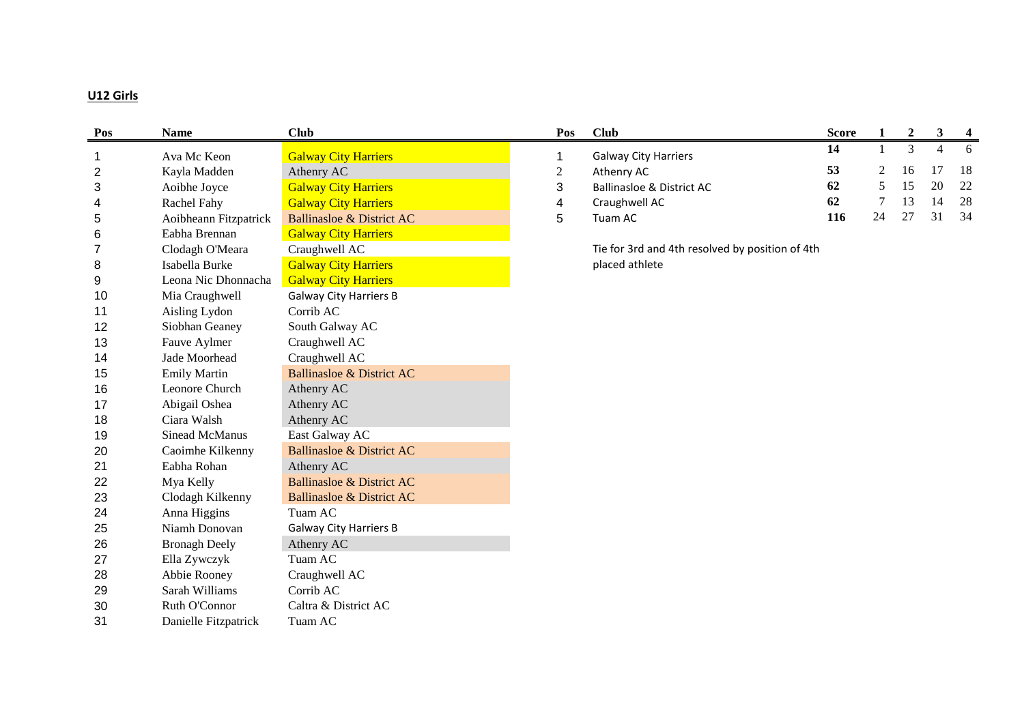# **U12 Girls**

| Pos            | <b>Name</b>           | <b>Club</b>                          | Pos            | <b>Club</b>                                     | <b>Score</b> | 1              | $\boldsymbol{2}$ | 3  | 4  |
|----------------|-----------------------|--------------------------------------|----------------|-------------------------------------------------|--------------|----------------|------------------|----|----|
| $\mathbf 1$    | Ava Mc Keon           | <b>Galway City Harriers</b>          | 1              | <b>Galway City Harriers</b>                     | 14           | -1             | $\overline{3}$   | 4  | 6  |
| $\overline{2}$ | Kayla Madden          | Athenry AC                           | $\overline{c}$ | Athenry AC                                      | 53           | $\overline{2}$ | 16               | 17 | 18 |
| $\sqrt{3}$     | Aoibhe Joyce          | <b>Galway City Harriers</b>          | 3              | <b>Ballinasloe &amp; District AC</b>            | 62           | 5              | 15               | 20 | 22 |
| 4              | Rachel Fahy           | <b>Galway City Harriers</b>          | 4              | Craughwell AC                                   | 62           | 7              | 13               | 14 | 28 |
| 5              | Aoibheann Fitzpatrick | <b>Ballinasloe &amp; District AC</b> | 5              | Tuam AC                                         | 116          | 24             | 27               | 31 | 34 |
| 6              | Eabha Brennan         | <b>Galway City Harriers</b>          |                |                                                 |              |                |                  |    |    |
| $\overline{7}$ | Clodagh O'Meara       | Craughwell AC                        |                | Tie for 3rd and 4th resolved by position of 4th |              |                |                  |    |    |
| 8              | Isabella Burke        | <b>Galway City Harriers</b>          |                | placed athlete                                  |              |                |                  |    |    |
| 9              | Leona Nic Dhonnacha   | <b>Galway City Harriers</b>          |                |                                                 |              |                |                  |    |    |
| 10             | Mia Craughwell        | <b>Galway City Harriers B</b>        |                |                                                 |              |                |                  |    |    |
| 11             | Aisling Lydon         | Corrib AC                            |                |                                                 |              |                |                  |    |    |
| 12             | Siobhan Geaney        | South Galway AC                      |                |                                                 |              |                |                  |    |    |
| 13             | Fauve Aylmer          | Craughwell AC                        |                |                                                 |              |                |                  |    |    |
| 14             | Jade Moorhead         | Craughwell AC                        |                |                                                 |              |                |                  |    |    |
| 15             | <b>Emily Martin</b>   | <b>Ballinasloe &amp; District AC</b> |                |                                                 |              |                |                  |    |    |
| 16             | Leonore Church        | Athenry AC                           |                |                                                 |              |                |                  |    |    |
| 17             | Abigail Oshea         | Athenry AC                           |                |                                                 |              |                |                  |    |    |
| 18             | Ciara Walsh           | Athenry AC                           |                |                                                 |              |                |                  |    |    |
| 19             | Sinead McManus        | East Galway AC                       |                |                                                 |              |                |                  |    |    |
| 20             | Caoimhe Kilkenny      | <b>Ballinasloe &amp; District AC</b> |                |                                                 |              |                |                  |    |    |
| 21             | Eabha Rohan           | Athenry AC                           |                |                                                 |              |                |                  |    |    |
| 22             | Mya Kelly             | <b>Ballinasloe &amp; District AC</b> |                |                                                 |              |                |                  |    |    |
| 23             | Clodagh Kilkenny      | <b>Ballinasloe &amp; District AC</b> |                |                                                 |              |                |                  |    |    |
| 24             | Anna Higgins          | Tuam AC                              |                |                                                 |              |                |                  |    |    |
| 25             | Niamh Donovan         | <b>Galway City Harriers B</b>        |                |                                                 |              |                |                  |    |    |
| 26             | <b>Bronagh Deely</b>  | Athenry AC                           |                |                                                 |              |                |                  |    |    |
| 27             | Ella Zywczyk          | Tuam AC                              |                |                                                 |              |                |                  |    |    |
| 28             | Abbie Rooney          | Craughwell AC                        |                |                                                 |              |                |                  |    |    |
| 29             | Sarah Williams        | Corrib AC                            |                |                                                 |              |                |                  |    |    |
| 30             | Ruth O'Connor         | Caltra & District AC                 |                |                                                 |              |                |                  |    |    |
| 31             | Danielle Fitzpatrick  | Tuam AC                              |                |                                                 |              |                |                  |    |    |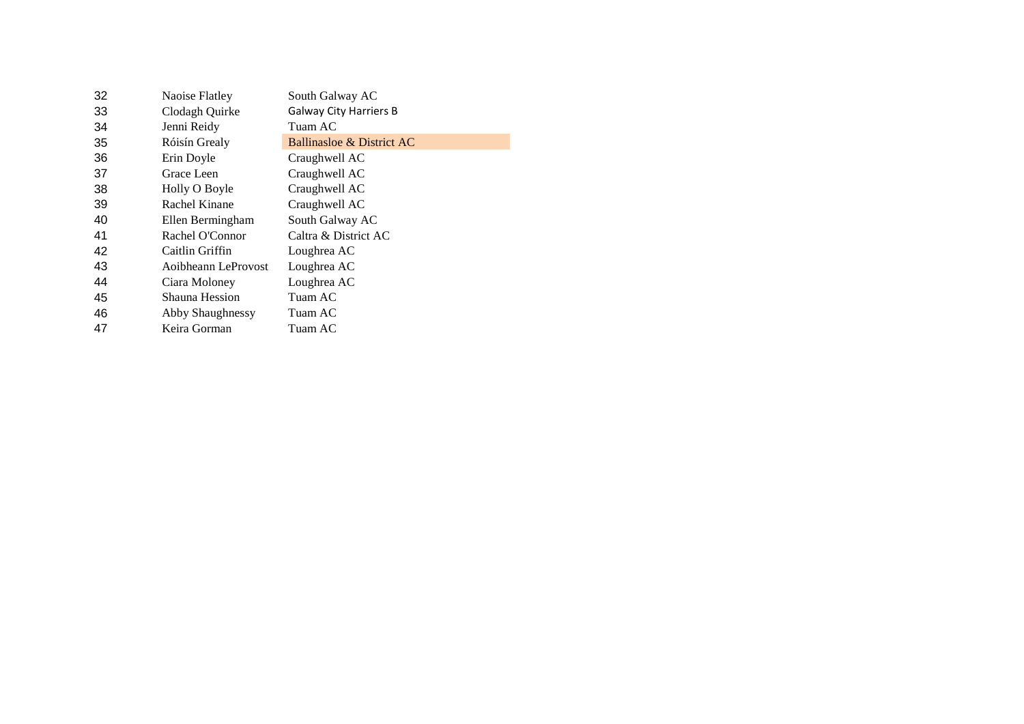| 32 | Naoise Flatley      | South Galway AC               |
|----|---------------------|-------------------------------|
| 33 | Clodagh Quirke      | <b>Galway City Harriers B</b> |
| 34 | Jenni Reidy         | Tuam AC                       |
| 35 | Róisín Grealy       | Ballinasloe & District AC     |
| 36 | Erin Doyle          | Craughwell AC                 |
| 37 | Grace Leen          | Craughwell AC                 |
| 38 | Holly O Boyle       | Craughwell AC                 |
| 39 | Rachel Kinane       | Craughwell AC                 |
| 40 | Ellen Bermingham    | South Galway AC               |
| 41 | Rachel O'Connor     | Caltra & District AC          |
| 42 | Caitlin Griffin     | Loughrea AC                   |
| 43 | Aoibheann LeProvost | Loughrea AC                   |
| 44 | Ciara Moloney       | Loughrea AC                   |
| 45 | Shauna Hession      | Tuam AC                       |
| 46 | Abby Shaughnessy    | Tuam AC                       |
| 47 | Keira Gorman        | Tuam AC                       |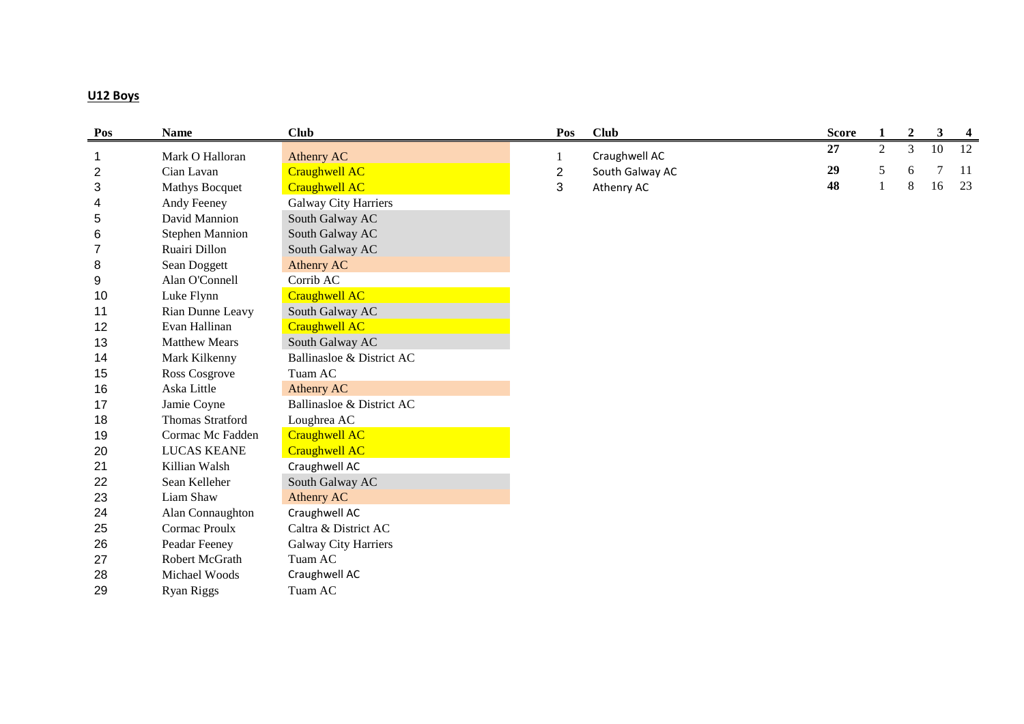## **U12 Boys**

| Pos            | <b>Name</b>             | <b>Club</b>                 | Pos            | <b>Club</b>     | <b>Score</b> | $\mathbf{1}$ | $\overline{2}$ | $\mathbf{3}$ | $\overline{\mathbf{4}}$ |
|----------------|-------------------------|-----------------------------|----------------|-----------------|--------------|--------------|----------------|--------------|-------------------------|
| $\mathbf{1}$   | Mark O Halloran         | Athenry AC                  |                | Craughwell AC   | 27           | 2            | 3              | 10           | 12                      |
| $\overline{c}$ | Cian Lavan              | <b>Craughwell AC</b>        | $\overline{2}$ | South Galway AC | 29           | 5            | 6              | 7            | 11                      |
| 3              | <b>Mathys Bocquet</b>   | <b>Craughwell AC</b>        | 3              | Athenry AC      | 48           | $\mathbf{1}$ | 8              | 16           | 23                      |
| 4              | Andy Feeney             | <b>Galway City Harriers</b> |                |                 |              |              |                |              |                         |
| 5              | David Mannion           | South Galway AC             |                |                 |              |              |                |              |                         |
| $\,6$          | <b>Stephen Mannion</b>  | South Galway AC             |                |                 |              |              |                |              |                         |
| 7              | Ruairi Dillon           | South Galway AC             |                |                 |              |              |                |              |                         |
| 8              | Sean Doggett            | Athenry AC                  |                |                 |              |              |                |              |                         |
| 9              | Alan O'Connell          | Corrib AC                   |                |                 |              |              |                |              |                         |
| 10             | Luke Flynn              | <b>Craughwell AC</b>        |                |                 |              |              |                |              |                         |
| 11             | Rian Dunne Leavy        | South Galway AC             |                |                 |              |              |                |              |                         |
| 12             | Evan Hallinan           | <b>Craughwell AC</b>        |                |                 |              |              |                |              |                         |
| 13             | <b>Matthew Mears</b>    | South Galway AC             |                |                 |              |              |                |              |                         |
| 14             | Mark Kilkenny           | Ballinasloe & District AC   |                |                 |              |              |                |              |                         |
| 15             | Ross Cosgrove           | Tuam AC                     |                |                 |              |              |                |              |                         |
| 16             | Aska Little             | Athenry AC                  |                |                 |              |              |                |              |                         |
| 17             | Jamie Coyne             | Ballinasloe & District AC   |                |                 |              |              |                |              |                         |
| 18             | <b>Thomas Stratford</b> | Loughrea AC                 |                |                 |              |              |                |              |                         |
| 19             | Cormac Mc Fadden        | <b>Craughwell AC</b>        |                |                 |              |              |                |              |                         |
| 20             | <b>LUCAS KEANE</b>      | <b>Craughwell AC</b>        |                |                 |              |              |                |              |                         |
| 21             | Killian Walsh           | Craughwell AC               |                |                 |              |              |                |              |                         |
| 22             | Sean Kelleher           | South Galway AC             |                |                 |              |              |                |              |                         |
| 23             | Liam Shaw               | <b>Athenry AC</b>           |                |                 |              |              |                |              |                         |
| 24             | Alan Connaughton        | Craughwell AC               |                |                 |              |              |                |              |                         |
| 25             | Cormac Proulx           | Caltra & District AC        |                |                 |              |              |                |              |                         |
| 26             | Peadar Feeney           | <b>Galway City Harriers</b> |                |                 |              |              |                |              |                         |
| 27             | Robert McGrath          | Tuam AC                     |                |                 |              |              |                |              |                         |
| 28             | Michael Woods           | Craughwell AC               |                |                 |              |              |                |              |                         |
| 29             | <b>Ryan Riggs</b>       | Tuam AC                     |                |                 |              |              |                |              |                         |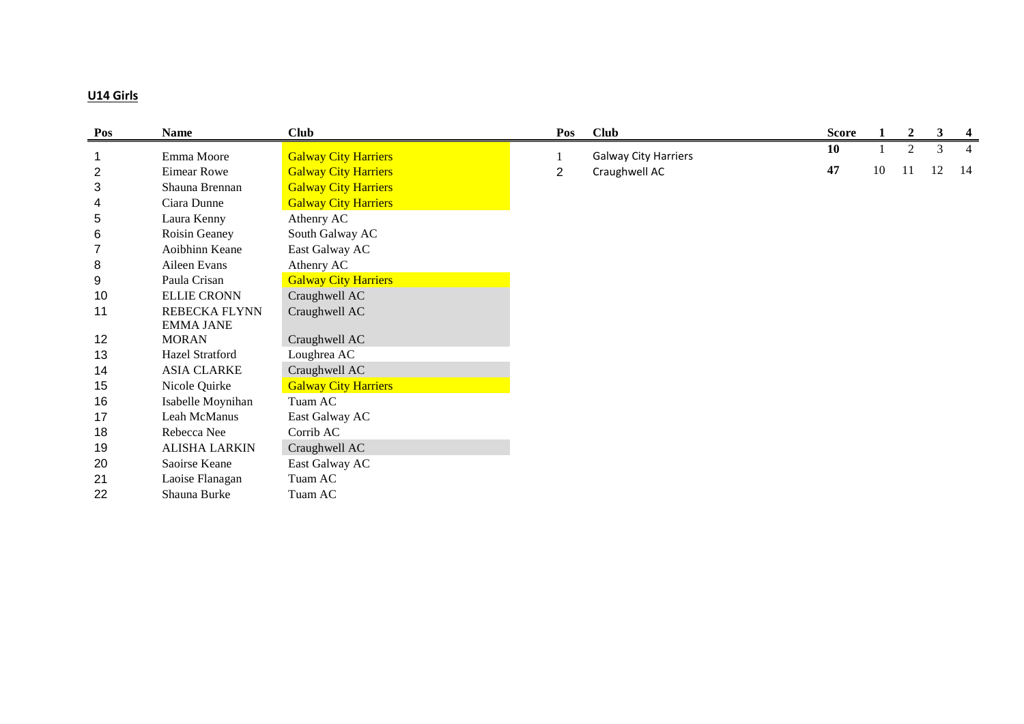# **U14 Girls**

| Pos            | <b>Name</b>          | <b>Club</b>                 | Pos            | <b>Club</b>                 | <b>Score</b> |    | $\overline{2}$ | 3  | $\overline{4}$ |
|----------------|----------------------|-----------------------------|----------------|-----------------------------|--------------|----|----------------|----|----------------|
|                | Emma Moore           | <b>Galway City Harriers</b> |                | <b>Galway City Harriers</b> | 10           |    | 2              | 3  | $\overline{4}$ |
| $\overline{2}$ | Eimear Rowe          | <b>Galway City Harriers</b> | $\overline{2}$ | Craughwell AC               | 47           | 10 | -11            | 12 | 14             |
| $\sqrt{3}$     | Shauna Brennan       | <b>Galway City Harriers</b> |                |                             |              |    |                |    |                |
| 4              | Ciara Dunne          | <b>Galway City Harriers</b> |                |                             |              |    |                |    |                |
| 5              | Laura Kenny          | Athenry AC                  |                |                             |              |    |                |    |                |
| 6              | Roisin Geaney        | South Galway AC             |                |                             |              |    |                |    |                |
| 7              | Aoibhinn Keane       | East Galway AC              |                |                             |              |    |                |    |                |
| 8              | Aileen Evans         | Athenry AC                  |                |                             |              |    |                |    |                |
| 9              | Paula Crisan         | <b>Galway City Harriers</b> |                |                             |              |    |                |    |                |
| 10             | <b>ELLIE CRONN</b>   | Craughwell AC               |                |                             |              |    |                |    |                |
| 11             | <b>REBECKA FLYNN</b> | Craughwell AC               |                |                             |              |    |                |    |                |
|                | <b>EMMA JANE</b>     |                             |                |                             |              |    |                |    |                |
| 12             | <b>MORAN</b>         | Craughwell AC               |                |                             |              |    |                |    |                |
| 13             | Hazel Stratford      | Loughrea AC                 |                |                             |              |    |                |    |                |
| 14             | <b>ASIA CLARKE</b>   | Craughwell AC               |                |                             |              |    |                |    |                |
| 15             | Nicole Quirke        | <b>Galway City Harriers</b> |                |                             |              |    |                |    |                |
| 16             | Isabelle Moynihan    | Tuam AC                     |                |                             |              |    |                |    |                |
| 17             | Leah McManus         | East Galway AC              |                |                             |              |    |                |    |                |
| 18             | Rebecca Nee          | Corrib AC                   |                |                             |              |    |                |    |                |
| 19             | <b>ALISHA LARKIN</b> | Craughwell AC               |                |                             |              |    |                |    |                |
| 20             | Saoirse Keane        | East Galway AC              |                |                             |              |    |                |    |                |
| 21             | Laoise Flanagan      | Tuam AC                     |                |                             |              |    |                |    |                |
| 22             | Shauna Burke         | Tuam AC                     |                |                             |              |    |                |    |                |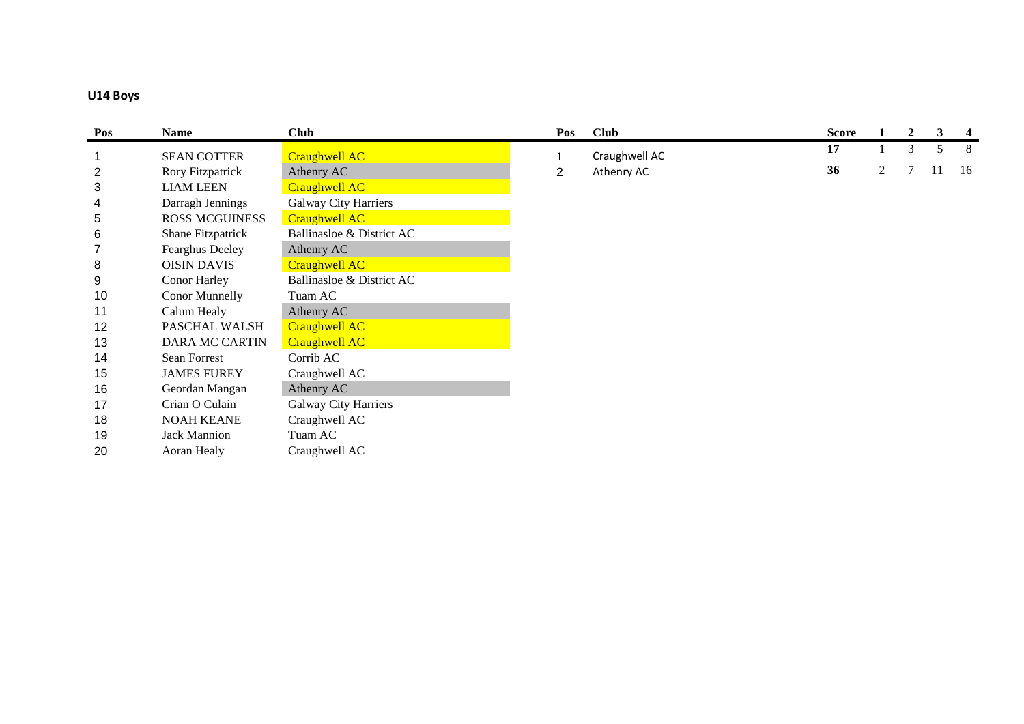## **U14 Boys**

| Pos            | <b>Name</b>             | <b>Club</b>                 | Pos            | <b>Club</b>   | <b>Score</b> |   | 2 | 3  | $\overline{\mathbf{4}}$ |
|----------------|-------------------------|-----------------------------|----------------|---------------|--------------|---|---|----|-------------------------|
|                | <b>SEAN COTTER</b>      | <b>Craughwell AC</b>        |                | Craughwell AC | 17           |   | 3 |    | 8                       |
| $\overline{2}$ | <b>Rory Fitzpatrick</b> | Athenry AC                  | $\overline{2}$ | Athenry AC    | 36           | 2 |   | 11 | -16                     |
| 3              | <b>LIAM LEEN</b>        | <b>Craughwell AC</b>        |                |               |              |   |   |    |                         |
| 4              | Darragh Jennings        | <b>Galway City Harriers</b> |                |               |              |   |   |    |                         |
| 5              | <b>ROSS MCGUINESS</b>   | <b>Craughwell AC</b>        |                |               |              |   |   |    |                         |
| 6              | Shane Fitzpatrick       | Ballinasloe & District AC   |                |               |              |   |   |    |                         |
| 7              | Fearghus Deeley         | Athenry AC                  |                |               |              |   |   |    |                         |
| 8              | <b>OISIN DAVIS</b>      | Craughwell AC               |                |               |              |   |   |    |                         |
| 9              | Conor Harley            | Ballinasloe & District AC   |                |               |              |   |   |    |                         |
| 10             | Conor Munnelly          | Tuam AC                     |                |               |              |   |   |    |                         |
| 11             | Calum Healy             | Athenry AC                  |                |               |              |   |   |    |                         |
| 12             | PASCHAL WALSH           | Craughwell AC               |                |               |              |   |   |    |                         |
| 13             | <b>DARA MC CARTIN</b>   | <b>Craughwell AC</b>        |                |               |              |   |   |    |                         |
| 14             | Sean Forrest            | Corrib AC                   |                |               |              |   |   |    |                         |
| 15             | <b>JAMES FUREY</b>      | Craughwell AC               |                |               |              |   |   |    |                         |
| 16             | Geordan Mangan          | Athenry AC                  |                |               |              |   |   |    |                         |
| 17             | Crian O Culain          | <b>Galway City Harriers</b> |                |               |              |   |   |    |                         |
| 18             | <b>NOAH KEANE</b>       | Craughwell AC               |                |               |              |   |   |    |                         |
| 19             | <b>Jack Mannion</b>     | Tuam AC                     |                |               |              |   |   |    |                         |
| 20             | Aoran Healy             | Craughwell AC               |                |               |              |   |   |    |                         |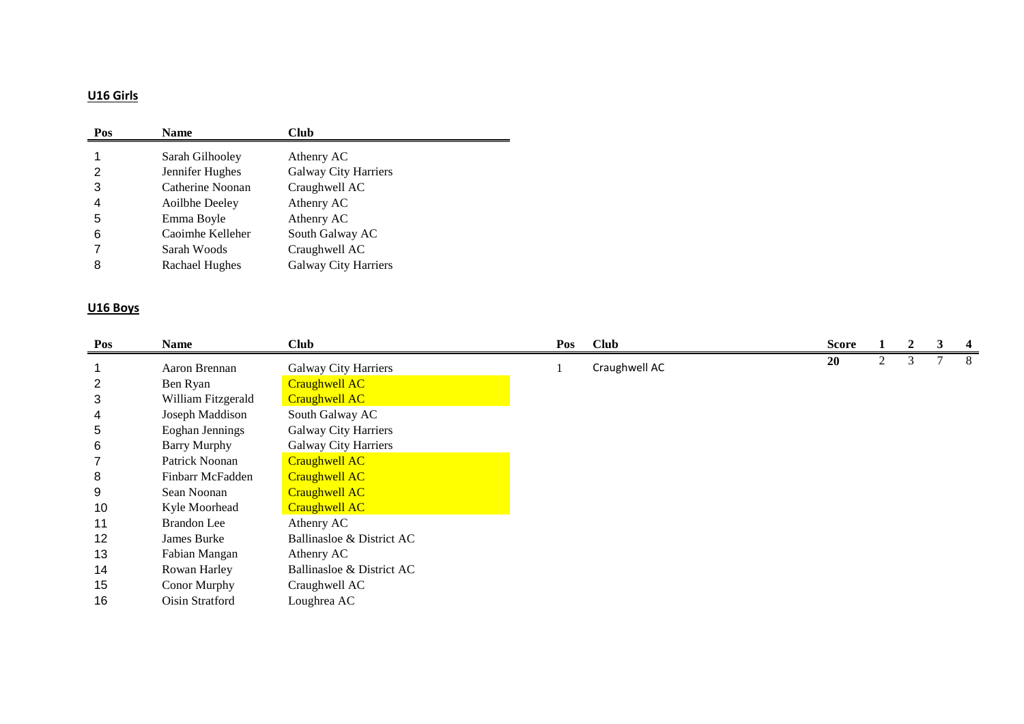# **U16 Girls**

| Pos | <b>Name</b>      | Club                        |
|-----|------------------|-----------------------------|
|     | Sarah Gilhooley  | Athenry AC                  |
| 2   | Jennifer Hughes  | <b>Galway City Harriers</b> |
| 3   | Catherine Noonan | Craughwell AC               |
| 4   | Aoilbhe Deeley   | Athenry AC                  |
| 5   | Emma Boyle       | Athenry AC                  |
| 6   | Caoimhe Kelleher | South Galway AC             |
|     | Sarah Woods      | Craughwell AC               |
| 8   | Rachael Hughes   | <b>Galway City Harriers</b> |

# **U16 Boys**

| Pos | <b>Name</b>         | <b>Club</b>                 | Pos | <b>Club</b>   | <b>Score</b> |   | 2 | 3 | 4  |
|-----|---------------------|-----------------------------|-----|---------------|--------------|---|---|---|----|
|     | Aaron Brennan       | <b>Galway City Harriers</b> |     | Craughwell AC | 20           | 2 | 3 |   | -8 |
| 2   | Ben Ryan            | <b>Craughwell AC</b>        |     |               |              |   |   |   |    |
| 3   | William Fitzgerald  | <b>Craughwell AC</b>        |     |               |              |   |   |   |    |
| 4   | Joseph Maddison     | South Galway AC             |     |               |              |   |   |   |    |
| 5   | Eoghan Jennings     | <b>Galway City Harriers</b> |     |               |              |   |   |   |    |
| 6   | <b>Barry Murphy</b> | <b>Galway City Harriers</b> |     |               |              |   |   |   |    |
|     | Patrick Noonan      | <b>Craughwell AC</b>        |     |               |              |   |   |   |    |
| 8   | Finbarr McFadden    | <b>Craughwell AC</b>        |     |               |              |   |   |   |    |
| 9   | Sean Noonan         | <b>Craughwell AC</b>        |     |               |              |   |   |   |    |
| 10  | Kyle Moorhead       | <b>Craughwell AC</b>        |     |               |              |   |   |   |    |
| 11  | <b>Brandon</b> Lee  | Athenry AC                  |     |               |              |   |   |   |    |
| 12  | James Burke         | Ballinasloe & District AC   |     |               |              |   |   |   |    |
| 13  | Fabian Mangan       | Athenry AC                  |     |               |              |   |   |   |    |
| 14  | Rowan Harley        | Ballinasloe & District AC   |     |               |              |   |   |   |    |
| 15  | Conor Murphy        | Craughwell AC               |     |               |              |   |   |   |    |
| 16  | Oisin Stratford     | Loughrea AC                 |     |               |              |   |   |   |    |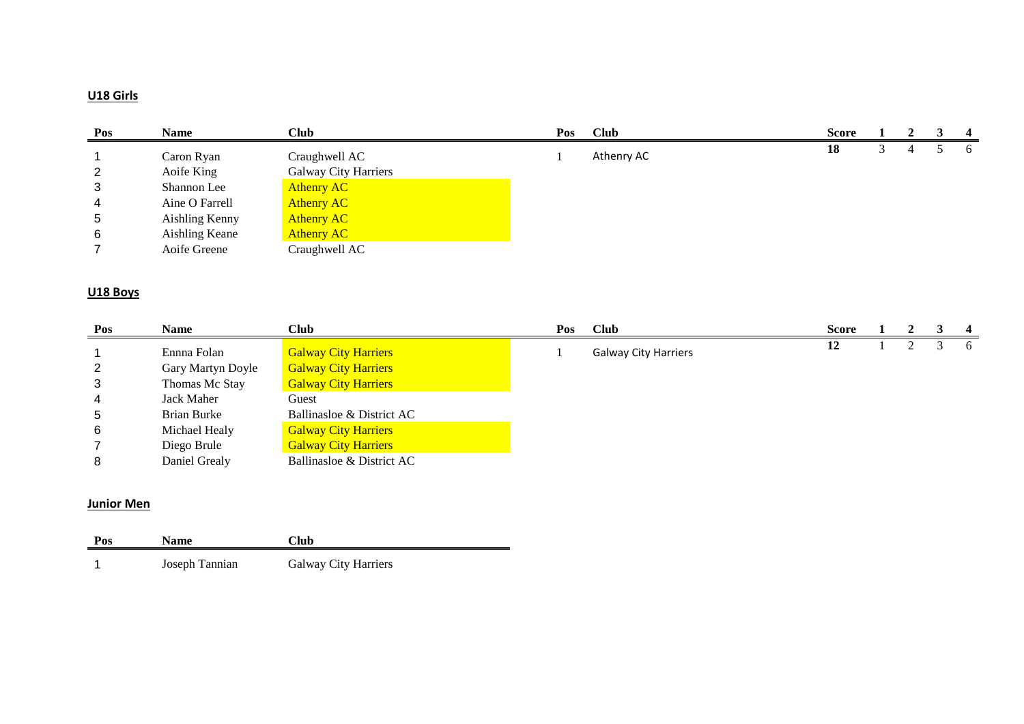# **U18 Girls**

| Pos | Name           | <b>Club</b>          | Pos | <b>Club</b> | <b>Score</b> |  | $\overline{\mathbf{4}}$ |
|-----|----------------|----------------------|-----|-------------|--------------|--|-------------------------|
|     | Caron Ryan     | Craughwell AC        |     | Athenry AC  | 18           |  | $\sigma$                |
| 2   | Aoife King     | Galway City Harriers |     |             |              |  |                         |
| 3   | Shannon Lee    | <b>Athenry AC</b>    |     |             |              |  |                         |
| 4   | Aine O Farrell | <b>Athenry AC</b>    |     |             |              |  |                         |
| 5   | Aishling Kenny | <b>Athenry AC</b>    |     |             |              |  |                         |
| -6  | Aishling Keane | <b>Athenry AC</b>    |     |             |              |  |                         |
|     | Aoife Greene   | Craughwell AC        |     |             |              |  |                         |

## **U18 Boys**

| Pos            | <b>Name</b>       | Club                        | Pos | <b>Club</b>                 | <b>Score</b> |  | -4 |
|----------------|-------------------|-----------------------------|-----|-----------------------------|--------------|--|----|
|                | Ennna Folan       | <b>Galway City Harriers</b> |     | <b>Galway City Harriers</b> | 12           |  | 6  |
| $\overline{2}$ | Gary Martyn Doyle | <b>Galway City Harriers</b> |     |                             |              |  |    |
| 3              | Thomas Mc Stay    | <b>Galway City Harriers</b> |     |                             |              |  |    |
| 4              | Jack Maher        | Guest                       |     |                             |              |  |    |
| 5              | Brian Burke       | Ballinasloe & District AC   |     |                             |              |  |    |
| 6              | Michael Healy     | <b>Galway City Harriers</b> |     |                             |              |  |    |
|                | Diego Brule       | <b>Galway City Harriers</b> |     |                             |              |  |    |
| 8              | Daniel Grealy     | Ballinasloe & District AC   |     |                             |              |  |    |

### **Junior Men**

| Pos | <b>Name</b>    | Club                 |
|-----|----------------|----------------------|
|     | Joseph Tannian | Galway City Harriers |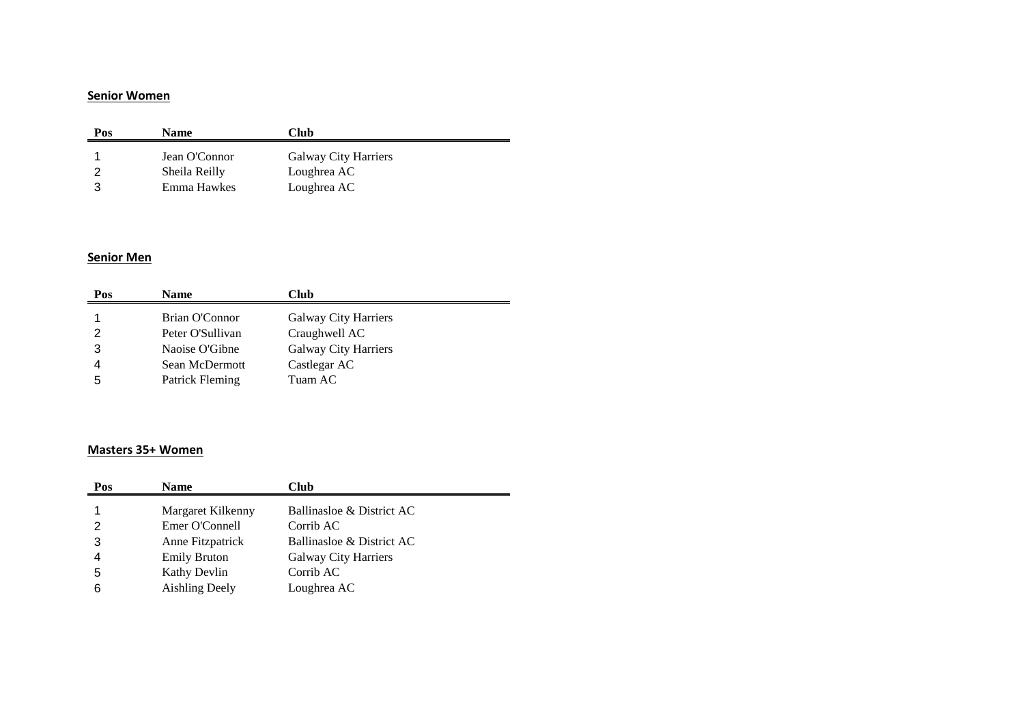#### **Senior Women**

| Pos | <b>Name</b>   | Club                        |
|-----|---------------|-----------------------------|
|     | Jean O'Connor | <b>Galway City Harriers</b> |
|     | Sheila Reilly | Loughrea AC                 |
|     | Emma Hawkes   | Loughrea AC                 |

#### **Senior Men**

| Pos | <b>Name</b>      | Club                        |
|-----|------------------|-----------------------------|
|     | Brian O'Connor   | <b>Galway City Harriers</b> |
|     | Peter O'Sullivan | Craughwell AC               |
| 3   | Naoise O'Gibne   | Galway City Harriers        |
|     | Sean McDermott   | Castlegar AC                |
| 5   | Patrick Fleming  | Tuam AC                     |

## **Masters 35+ Women**

| Pos | <b>Name</b>           | Club                        |
|-----|-----------------------|-----------------------------|
|     | Margaret Kilkenny     | Ballinasloe & District AC   |
| 2   | Emer O'Connell        | Corrib AC                   |
| 3   | Anne Fitzpatrick      | Ballinasloe & District AC   |
| 4   | <b>Emily Bruton</b>   | <b>Galway City Harriers</b> |
| 5   | Kathy Devlin          | Corrib AC                   |
| 6   | <b>Aishling Deely</b> | Loughrea AC                 |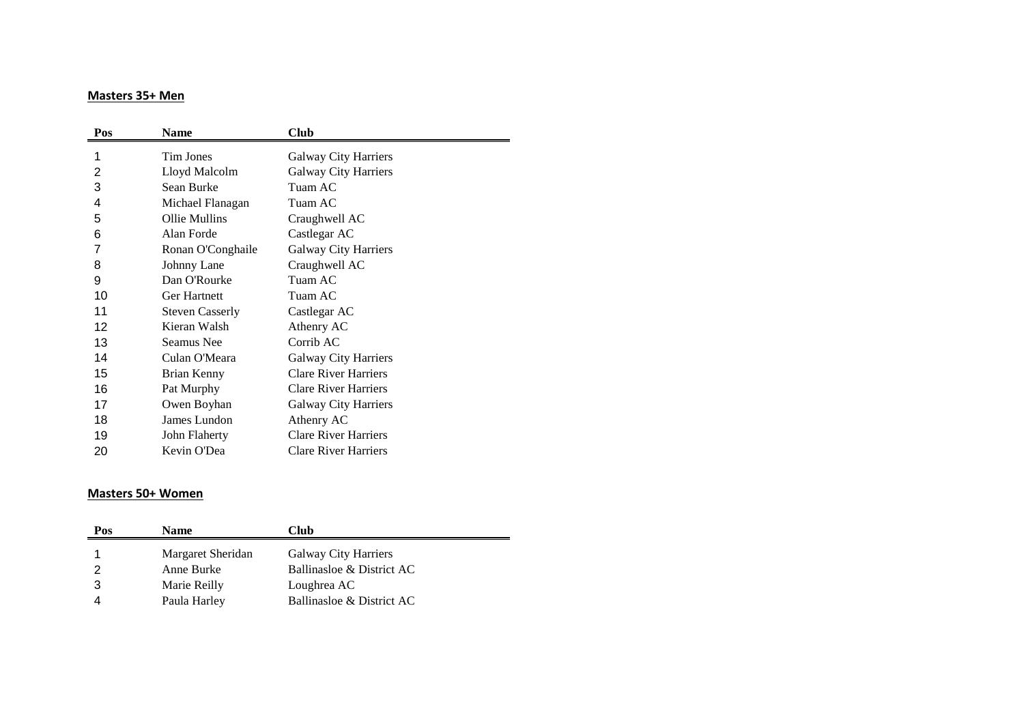#### **Masters 35+ Men**

| Pos            | <b>Name</b>            | Club                        |
|----------------|------------------------|-----------------------------|
| 1              | <b>Tim Jones</b>       | <b>Galway City Harriers</b> |
| $\overline{2}$ | Lloyd Malcolm          | <b>Galway City Harriers</b> |
| 3              | Sean Burke             | Tuam AC                     |
| 4              | Michael Flanagan       | Tuam AC                     |
| 5              | Ollie Mullins          | Craughwell AC               |
| 6              | Alan Forde             | Castlegar AC                |
| 7              | Ronan O'Conghaile      | <b>Galway City Harriers</b> |
| 8              | Johnny Lane            | Craughwell AC               |
| 9              | Dan O'Rourke           | Tuam AC                     |
| 10             | Ger Hartnett           | Tuam AC                     |
| 11             | <b>Steven Casserly</b> | Castlegar AC                |
| 12             | Kieran Walsh           | Athenry AC                  |
| 13             | Seamus Nee             | Corrib AC                   |
| 14             | Culan O'Meara          | Galway City Harriers        |
| 15             | Brian Kenny            | <b>Clare River Harriers</b> |
| 16             | Pat Murphy             | <b>Clare River Harriers</b> |
| 17             | Owen Boyhan            | <b>Galway City Harriers</b> |
| 18             | James Lundon           | Athenry AC                  |
| 19             | John Flaherty          | <b>Clare River Harriers</b> |
| 20             | Kevin O'Dea            | <b>Clare River Harriers</b> |

#### **Masters 50+ Women**

| Pos | <b>Name</b>       | Club                        |
|-----|-------------------|-----------------------------|
|     | Margaret Sheridan | <b>Galway City Harriers</b> |
|     | Anne Burke        | Ballinasloe & District AC   |
|     | Marie Reilly      | Loughrea AC                 |
|     | Paula Harley      | Ballinasloe & District AC   |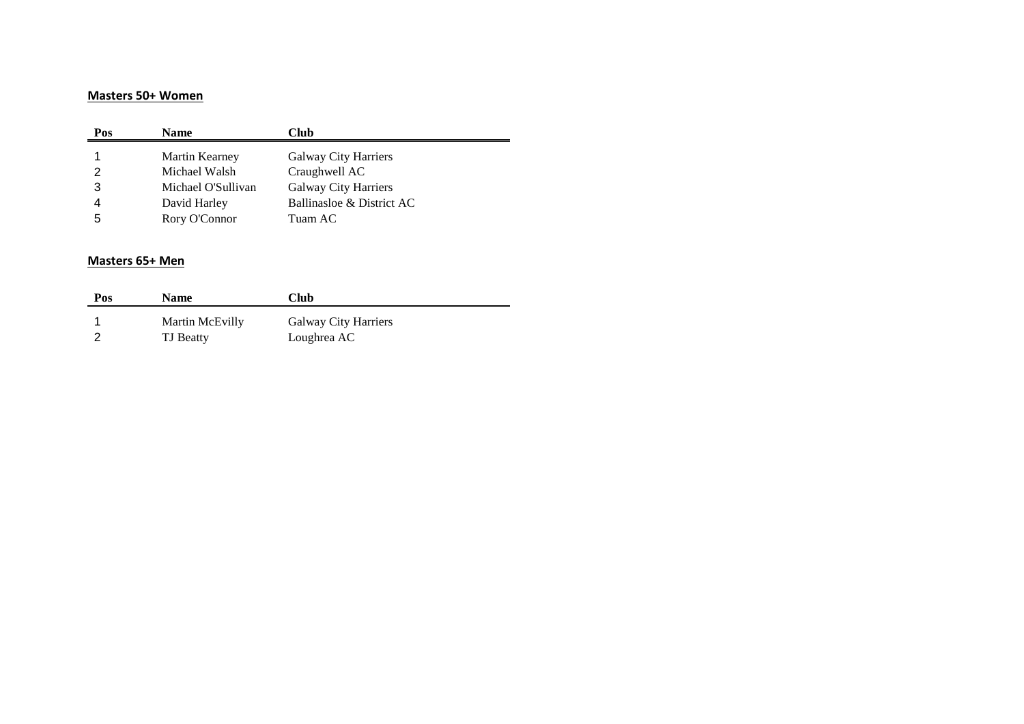#### **Masters 50+ Women**

| Pos | <b>Name</b>        | Club                        |
|-----|--------------------|-----------------------------|
|     | Martin Kearney     | <b>Galway City Harriers</b> |
|     | Michael Walsh      | Craughwell AC               |
| 3   | Michael O'Sullivan | Galway City Harriers        |
|     | David Harley       | Ballinasloe & District AC   |
| 5   | Rory O'Connor      | Tuam AC                     |

## **Masters 65+ Men**

| Pos | <b>Name</b>      | Club                        |
|-----|------------------|-----------------------------|
|     | Martin McEvilly  | <b>Galway City Harriers</b> |
|     | <b>TJ</b> Beatty | Loughrea AC                 |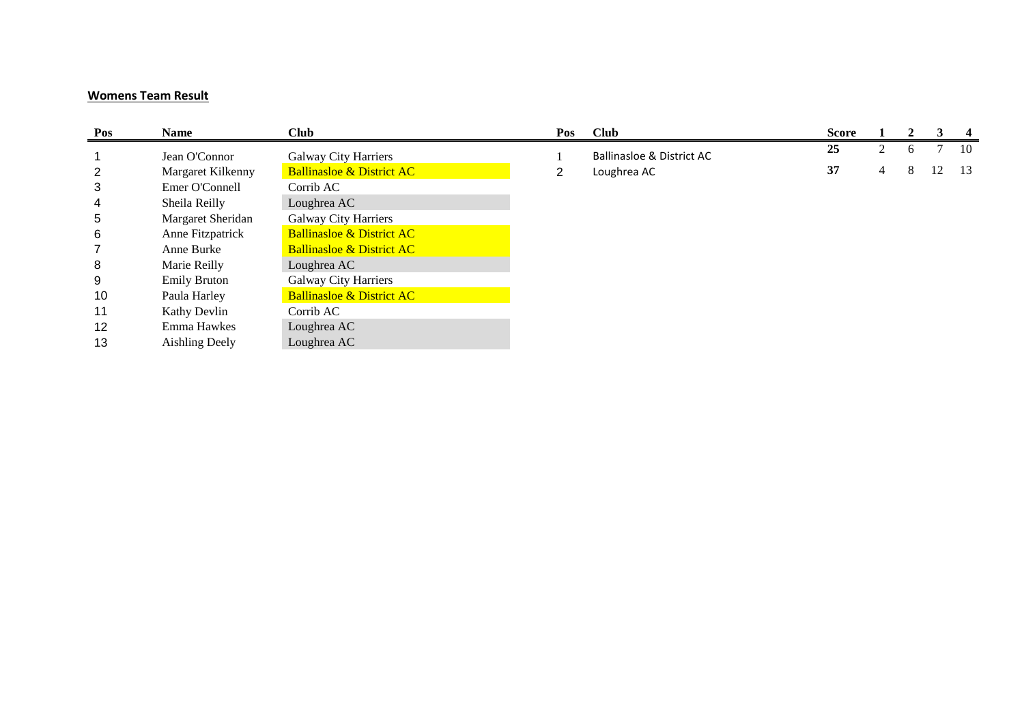## **Womens Team Result**

| Pos            | <b>Name</b>           | <b>Club</b>                          | Pos | <b>Club</b>                          | <b>Score</b> |   |   | 3  | -4   |
|----------------|-----------------------|--------------------------------------|-----|--------------------------------------|--------------|---|---|----|------|
|                | Jean O'Connor         | <b>Galway City Harriers</b>          |     | <b>Ballinasloe &amp; District AC</b> | 25           |   | 6 | 7  | - 10 |
| $\overline{2}$ | Margaret Kilkenny     | <b>Ballinasloe &amp; District AC</b> | າ   | Loughrea AC                          | 37           | 4 | 8 | 12 | -13  |
| 3              | Emer O'Connell        | Corrib AC                            |     |                                      |              |   |   |    |      |
| 4              | Sheila Reilly         | Loughrea AC                          |     |                                      |              |   |   |    |      |
| 5              | Margaret Sheridan     | <b>Galway City Harriers</b>          |     |                                      |              |   |   |    |      |
| 6              | Anne Fitzpatrick      | <b>Ballinasloe &amp; District AC</b> |     |                                      |              |   |   |    |      |
|                | Anne Burke            | <b>Ballinasloe &amp; District AC</b> |     |                                      |              |   |   |    |      |
| 8              | Marie Reilly          | Loughrea AC                          |     |                                      |              |   |   |    |      |
| 9              | <b>Emily Bruton</b>   | <b>Galway City Harriers</b>          |     |                                      |              |   |   |    |      |
| 10             | Paula Harley          | <b>Ballinasloe &amp; District AC</b> |     |                                      |              |   |   |    |      |
| 11             | Kathy Devlin          | Corrib AC                            |     |                                      |              |   |   |    |      |
| 12             | Emma Hawkes           | Loughrea AC                          |     |                                      |              |   |   |    |      |
| 13             | <b>Aishling Deely</b> | Loughrea AC                          |     |                                      |              |   |   |    |      |